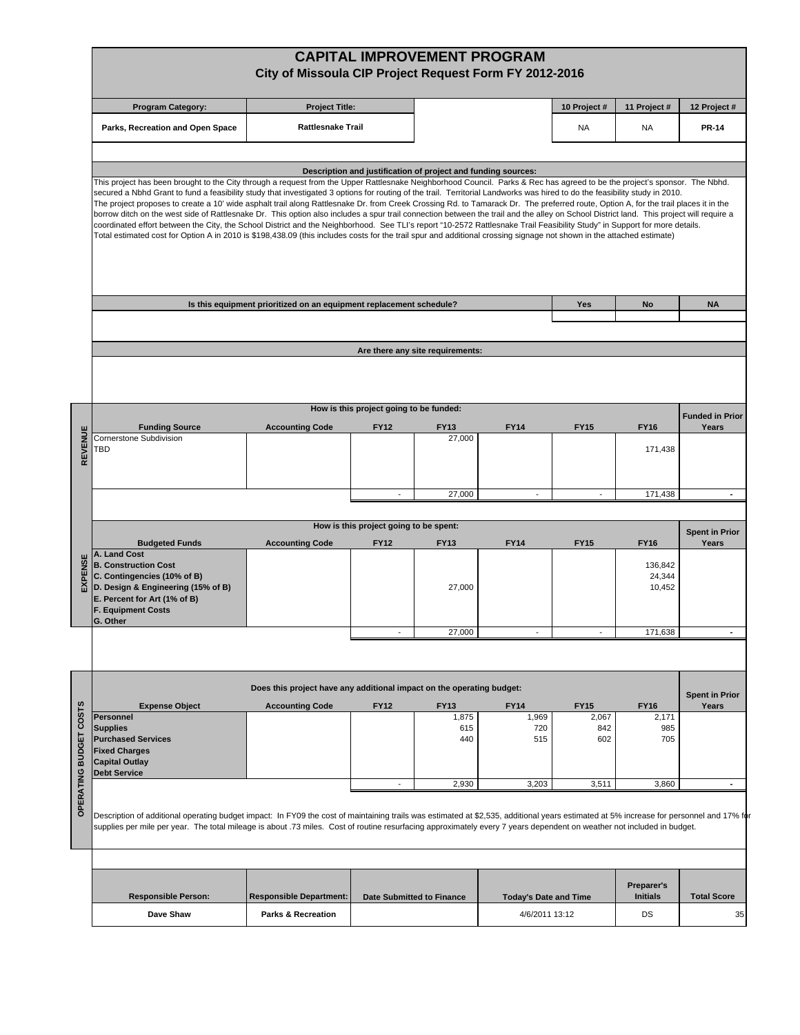|         |                                                                                                                                                                                                                                                                                                                                                                                                                                                                                                                                                                                                                                                                                                                                                                                                                                                                                                                                                                                                                                                                                                    |                                                                       |                                         |                                                               | <b>CAPITAL IMPROVEMENT PROGRAM</b> |                     |                                            |                                |
|---------|----------------------------------------------------------------------------------------------------------------------------------------------------------------------------------------------------------------------------------------------------------------------------------------------------------------------------------------------------------------------------------------------------------------------------------------------------------------------------------------------------------------------------------------------------------------------------------------------------------------------------------------------------------------------------------------------------------------------------------------------------------------------------------------------------------------------------------------------------------------------------------------------------------------------------------------------------------------------------------------------------------------------------------------------------------------------------------------------------|-----------------------------------------------------------------------|-----------------------------------------|---------------------------------------------------------------|------------------------------------|---------------------|--------------------------------------------|--------------------------------|
|         |                                                                                                                                                                                                                                                                                                                                                                                                                                                                                                                                                                                                                                                                                                                                                                                                                                                                                                                                                                                                                                                                                                    | City of Missoula CIP Project Request Form FY 2012-2016                |                                         |                                                               |                                    |                     |                                            |                                |
|         | <b>Program Category:</b>                                                                                                                                                                                                                                                                                                                                                                                                                                                                                                                                                                                                                                                                                                                                                                                                                                                                                                                                                                                                                                                                           | <b>Project Title:</b>                                                 |                                         |                                                               |                                    | 10 Project #        | 11 Project #                               | 12 Project #                   |
|         | Parks, Recreation and Open Space                                                                                                                                                                                                                                                                                                                                                                                                                                                                                                                                                                                                                                                                                                                                                                                                                                                                                                                                                                                                                                                                   | <b>Rattlesnake Trail</b>                                              |                                         |                                                               |                                    | NA                  | NA                                         | <b>PR-14</b>                   |
|         |                                                                                                                                                                                                                                                                                                                                                                                                                                                                                                                                                                                                                                                                                                                                                                                                                                                                                                                                                                                                                                                                                                    |                                                                       |                                         | Description and justification of project and funding sources: |                                    |                     |                                            |                                |
|         | This project has been brought to the City through a request from the Upper Rattlesnake Neighborhood Council. Parks & Rec has agreed to be the project's sponsor. The Nbhd.<br>secured a Nbhd Grant to fund a feasibility study that investigated 3 options for routing of the trail. Territorial Landworks was hired to do the feasibility study in 2010.<br>The project proposes to create a 10' wide asphalt trail along Rattlesnake Dr. from Creek Crossing Rd. to Tamarack Dr. The preferred route, Option A, for the trail places it in the<br>borrow ditch on the west side of Rattlesnake Dr. This option also includes a spur trail connection between the trail and the alley on School District land. This project will require a<br>coordinated effort between the City, the School District and the Neighborhood. See TLI's report "10-2572 Rattlesnake Trail Feasibility Study" in Support for more details.<br>Total estimated cost for Option A in 2010 is \$198,438.09 (this includes costs for the trail spur and additional crossing signage not shown in the attached estimate) |                                                                       |                                         |                                                               |                                    |                     |                                            |                                |
|         |                                                                                                                                                                                                                                                                                                                                                                                                                                                                                                                                                                                                                                                                                                                                                                                                                                                                                                                                                                                                                                                                                                    | Is this equipment prioritized on an equipment replacement schedule?   |                                         |                                                               |                                    | Yes                 | No                                         | <b>NA</b>                      |
|         |                                                                                                                                                                                                                                                                                                                                                                                                                                                                                                                                                                                                                                                                                                                                                                                                                                                                                                                                                                                                                                                                                                    |                                                                       |                                         |                                                               |                                    |                     |                                            |                                |
|         |                                                                                                                                                                                                                                                                                                                                                                                                                                                                                                                                                                                                                                                                                                                                                                                                                                                                                                                                                                                                                                                                                                    |                                                                       |                                         | Are there any site requirements:                              |                                    |                     |                                            |                                |
|         |                                                                                                                                                                                                                                                                                                                                                                                                                                                                                                                                                                                                                                                                                                                                                                                                                                                                                                                                                                                                                                                                                                    |                                                                       |                                         |                                                               |                                    |                     |                                            |                                |
|         |                                                                                                                                                                                                                                                                                                                                                                                                                                                                                                                                                                                                                                                                                                                                                                                                                                                                                                                                                                                                                                                                                                    |                                                                       | How is this project going to be funded: |                                                               |                                    |                     |                                            | <b>Funded in Prior</b>         |
| REVENUE | <b>Funding Source</b><br>Cornerstone Subdivision<br>TBD                                                                                                                                                                                                                                                                                                                                                                                                                                                                                                                                                                                                                                                                                                                                                                                                                                                                                                                                                                                                                                            | <b>Accounting Code</b>                                                | <b>FY12</b>                             | <b>FY13</b><br>27,000                                         | <b>FY14</b>                        | <b>FY15</b>         | <b>FY16</b><br>171,438                     | Years                          |
|         |                                                                                                                                                                                                                                                                                                                                                                                                                                                                                                                                                                                                                                                                                                                                                                                                                                                                                                                                                                                                                                                                                                    |                                                                       |                                         | 27,000                                                        |                                    |                     | 171,438                                    |                                |
|         |                                                                                                                                                                                                                                                                                                                                                                                                                                                                                                                                                                                                                                                                                                                                                                                                                                                                                                                                                                                                                                                                                                    |                                                                       |                                         |                                                               |                                    |                     |                                            |                                |
|         |                                                                                                                                                                                                                                                                                                                                                                                                                                                                                                                                                                                                                                                                                                                                                                                                                                                                                                                                                                                                                                                                                                    |                                                                       | How is this project going to be spent:  |                                                               |                                    |                     |                                            | <b>Spent in Prior</b>          |
| EXPENSE | <b>Budgeted Funds</b><br>A. Land Cost<br><b>B. Construction Cost</b><br>C. Contingencies (10% of B)<br>D. Design & Engineering (15% of B)<br>E. Percent for Art (1% of B)<br><b>F. Equipment Costs</b>                                                                                                                                                                                                                                                                                                                                                                                                                                                                                                                                                                                                                                                                                                                                                                                                                                                                                             | <b>Accounting Code</b>                                                | <b>FY12</b>                             | <b>FY13</b><br>27,000                                         | <b>FY14</b>                        | <b>FY15</b>         | <b>FY16</b><br>136.842<br>24,344<br>10,452 | Years                          |
|         | G. Other                                                                                                                                                                                                                                                                                                                                                                                                                                                                                                                                                                                                                                                                                                                                                                                                                                                                                                                                                                                                                                                                                           |                                                                       |                                         | 27.000                                                        |                                    |                     | 171.638                                    |                                |
|         |                                                                                                                                                                                                                                                                                                                                                                                                                                                                                                                                                                                                                                                                                                                                                                                                                                                                                                                                                                                                                                                                                                    |                                                                       |                                         |                                                               |                                    |                     |                                            |                                |
|         |                                                                                                                                                                                                                                                                                                                                                                                                                                                                                                                                                                                                                                                                                                                                                                                                                                                                                                                                                                                                                                                                                                    | Does this project have any additional impact on the operating budget: |                                         |                                                               |                                    |                     |                                            |                                |
|         | <b>Expense Object</b>                                                                                                                                                                                                                                                                                                                                                                                                                                                                                                                                                                                                                                                                                                                                                                                                                                                                                                                                                                                                                                                                              | <b>Accounting Code</b>                                                | <b>FY12</b>                             | <b>FY13</b>                                                   | <b>FY14</b>                        | <b>FY15</b>         | <b>FY16</b>                                | <b>Spent in Prior</b><br>Years |
|         | <b>Personnel</b><br><b>Supplies</b><br><b>Purchased Services</b><br><b>Fixed Charges</b><br><b>Capital Outlay</b><br><b>Debt Service</b>                                                                                                                                                                                                                                                                                                                                                                                                                                                                                                                                                                                                                                                                                                                                                                                                                                                                                                                                                           |                                                                       |                                         | 1,875<br>615<br>440                                           | 1,969<br>720<br>515                | 2,067<br>842<br>602 | 2,171<br>985<br>705                        |                                |
|         |                                                                                                                                                                                                                                                                                                                                                                                                                                                                                                                                                                                                                                                                                                                                                                                                                                                                                                                                                                                                                                                                                                    |                                                                       |                                         | 2,930                                                         | 3,203                              | 3,511               | 3,860                                      | $\blacksquare$                 |
|         | Description of additional operating budget impact: In FY09 the cost of maintaining trails was estimated at \$2,535, additional years estimated at 5% increase for personnel and 17% for<br>supplies per mile per year. The total mileage is about .73 miles. Cost of routine resurfacing approximately every 7 years dependent on weather not included in budget.                                                                                                                                                                                                                                                                                                                                                                                                                                                                                                                                                                                                                                                                                                                                  |                                                                       |                                         |                                                               |                                    |                     |                                            |                                |
|         |                                                                                                                                                                                                                                                                                                                                                                                                                                                                                                                                                                                                                                                                                                                                                                                                                                                                                                                                                                                                                                                                                                    |                                                                       |                                         |                                                               |                                    |                     |                                            |                                |
|         | <b>Responsible Person:</b>                                                                                                                                                                                                                                                                                                                                                                                                                                                                                                                                                                                                                                                                                                                                                                                                                                                                                                                                                                                                                                                                         | <b>Responsible Department:</b>                                        |                                         | <b>Date Submitted to Finance</b>                              | <b>Today's Date and Time</b>       |                     | Preparer's<br><b>Initials</b>              | <b>Total Score</b>             |
|         | Dave Shaw                                                                                                                                                                                                                                                                                                                                                                                                                                                                                                                                                                                                                                                                                                                                                                                                                                                                                                                                                                                                                                                                                          | <b>Parks &amp; Recreation</b>                                         |                                         |                                                               | 4/6/2011 13:12                     |                     | DS                                         | 35                             |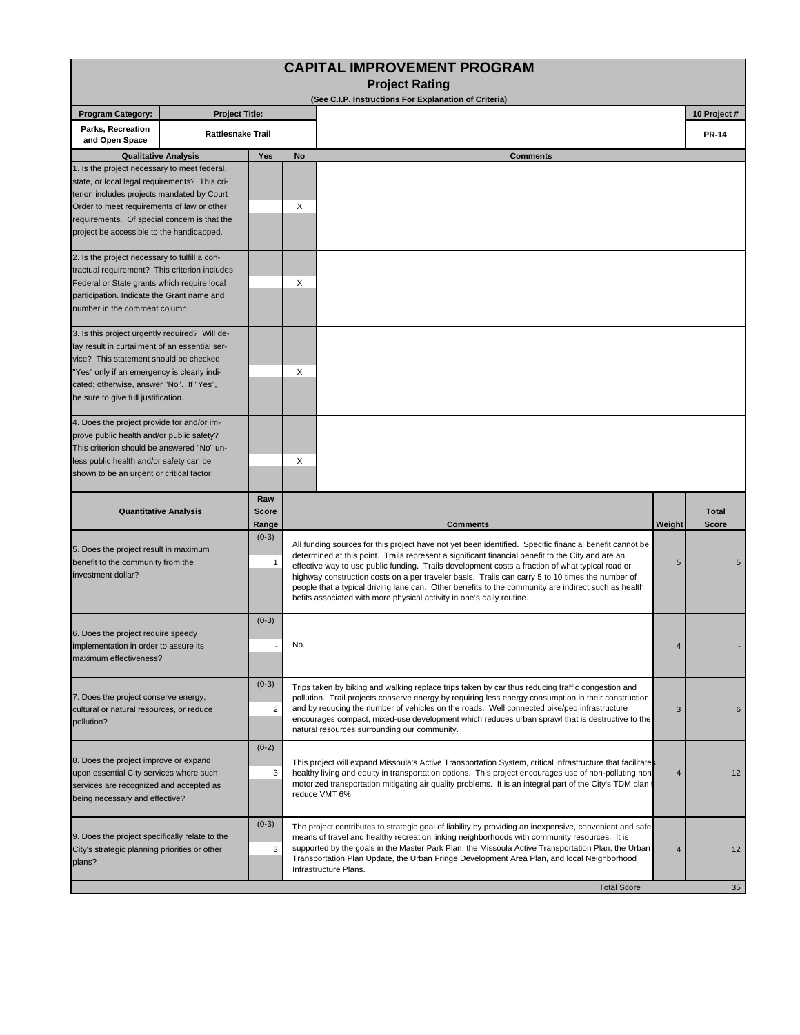| <b>CAPITAL IMPROVEMENT PROGRAM</b>                                                                                                                                                                                                                                                                                                                                                                                         |                       |                          |                                                                                                  |                                                                                                                                                                                                                     |                |                              |  |  |  |  |
|----------------------------------------------------------------------------------------------------------------------------------------------------------------------------------------------------------------------------------------------------------------------------------------------------------------------------------------------------------------------------------------------------------------------------|-----------------------|--------------------------|--------------------------------------------------------------------------------------------------|---------------------------------------------------------------------------------------------------------------------------------------------------------------------------------------------------------------------|----------------|------------------------------|--|--|--|--|
|                                                                                                                                                                                                                                                                                                                                                                                                                            |                       |                          | <b>Project Rating</b><br>(See C.I.P. Instructions For Explanation of Criteria)                   |                                                                                                                                                                                                                     |                |                              |  |  |  |  |
| <b>Program Category:</b>                                                                                                                                                                                                                                                                                                                                                                                                   | <b>Project Title:</b> |                          |                                                                                                  |                                                                                                                                                                                                                     |                | 10 Project #                 |  |  |  |  |
| Parks, Recreation<br>and Open Space                                                                                                                                                                                                                                                                                                                                                                                        |                       | <b>Rattlesnake Trail</b> |                                                                                                  |                                                                                                                                                                                                                     |                |                              |  |  |  |  |
| <b>Qualitative Analysis</b>                                                                                                                                                                                                                                                                                                                                                                                                |                       | Yes                      | No                                                                                               | <b>Comments</b>                                                                                                                                                                                                     |                |                              |  |  |  |  |
| 1. Is the project necessary to meet federal,                                                                                                                                                                                                                                                                                                                                                                               |                       |                          |                                                                                                  |                                                                                                                                                                                                                     |                |                              |  |  |  |  |
| state, or local legal requirements? This cri-                                                                                                                                                                                                                                                                                                                                                                              |                       |                          |                                                                                                  |                                                                                                                                                                                                                     |                |                              |  |  |  |  |
| terion includes projects mandated by Court<br>Order to meet requirements of law or other<br>requirements. Of special concern is that the                                                                                                                                                                                                                                                                                   |                       |                          | Χ                                                                                                |                                                                                                                                                                                                                     |                |                              |  |  |  |  |
|                                                                                                                                                                                                                                                                                                                                                                                                                            |                       |                          |                                                                                                  |                                                                                                                                                                                                                     |                |                              |  |  |  |  |
| project be accessible to the handicapped.                                                                                                                                                                                                                                                                                                                                                                                  |                       |                          |                                                                                                  |                                                                                                                                                                                                                     |                |                              |  |  |  |  |
| 2. Is the project necessary to fulfill a con-                                                                                                                                                                                                                                                                                                                                                                              |                       |                          |                                                                                                  |                                                                                                                                                                                                                     |                |                              |  |  |  |  |
| tractual requirement? This criterion includes                                                                                                                                                                                                                                                                                                                                                                              |                       |                          |                                                                                                  |                                                                                                                                                                                                                     |                |                              |  |  |  |  |
| Federal or State grants which require local                                                                                                                                                                                                                                                                                                                                                                                |                       |                          | Χ                                                                                                |                                                                                                                                                                                                                     |                |                              |  |  |  |  |
| participation. Indicate the Grant name and<br>number in the comment column.                                                                                                                                                                                                                                                                                                                                                |                       |                          |                                                                                                  |                                                                                                                                                                                                                     |                |                              |  |  |  |  |
|                                                                                                                                                                                                                                                                                                                                                                                                                            |                       |                          |                                                                                                  |                                                                                                                                                                                                                     |                |                              |  |  |  |  |
| 3. Is this project urgently required? Will de-<br>lay result in curtailment of an essential ser-                                                                                                                                                                                                                                                                                                                           |                       |                          |                                                                                                  |                                                                                                                                                                                                                     |                |                              |  |  |  |  |
| vice? This statement should be checked                                                                                                                                                                                                                                                                                                                                                                                     |                       |                          |                                                                                                  |                                                                                                                                                                                                                     |                |                              |  |  |  |  |
| "Yes" only if an emergency is clearly indi-                                                                                                                                                                                                                                                                                                                                                                                |                       |                          | Χ                                                                                                |                                                                                                                                                                                                                     |                |                              |  |  |  |  |
| cated; otherwise, answer "No". If "Yes",<br>be sure to give full justification.                                                                                                                                                                                                                                                                                                                                            |                       |                          |                                                                                                  |                                                                                                                                                                                                                     |                |                              |  |  |  |  |
|                                                                                                                                                                                                                                                                                                                                                                                                                            |                       |                          |                                                                                                  |                                                                                                                                                                                                                     |                |                              |  |  |  |  |
| 4. Does the project provide for and/or im-                                                                                                                                                                                                                                                                                                                                                                                 |                       |                          |                                                                                                  |                                                                                                                                                                                                                     |                |                              |  |  |  |  |
| prove public health and/or public safety?<br>This criterion should be answered "No" un-                                                                                                                                                                                                                                                                                                                                    |                       |                          |                                                                                                  |                                                                                                                                                                                                                     |                |                              |  |  |  |  |
| less public health and/or safety can be                                                                                                                                                                                                                                                                                                                                                                                    |                       |                          | X                                                                                                |                                                                                                                                                                                                                     |                |                              |  |  |  |  |
| shown to be an urgent or critical factor.                                                                                                                                                                                                                                                                                                                                                                                  |                       |                          |                                                                                                  |                                                                                                                                                                                                                     |                |                              |  |  |  |  |
| Raw<br><b>Quantitative Analysis</b><br><b>Score</b>                                                                                                                                                                                                                                                                                                                                                                        |                       |                          |                                                                                                  |                                                                                                                                                                                                                     |                |                              |  |  |  |  |
|                                                                                                                                                                                                                                                                                                                                                                                                                            |                       |                          |                                                                                                  | <b>Comments</b>                                                                                                                                                                                                     |                | <b>Total</b><br><b>Score</b> |  |  |  |  |
|                                                                                                                                                                                                                                                                                                                                                                                                                            |                       | Range<br>$(0-3)$         |                                                                                                  |                                                                                                                                                                                                                     | Weight         |                              |  |  |  |  |
| 5. Does the project result in maximum                                                                                                                                                                                                                                                                                                                                                                                      |                       |                          |                                                                                                  | All funding sources for this project have not yet been identified. Specific financial benefit cannot be<br>determined at this point. Trails represent a significant financial benefit to the City and are an        |                |                              |  |  |  |  |
| benefit to the community from the                                                                                                                                                                                                                                                                                                                                                                                          |                       | -1                       | effective way to use public funding. Trails development costs a fraction of what typical road or |                                                                                                                                                                                                                     |                |                              |  |  |  |  |
| investment dollar?                                                                                                                                                                                                                                                                                                                                                                                                         |                       |                          |                                                                                                  | highway construction costs on a per traveler basis. Trails can carry 5 to 10 times the number of                                                                                                                    | 5              |                              |  |  |  |  |
|                                                                                                                                                                                                                                                                                                                                                                                                                            |                       |                          |                                                                                                  |                                                                                                                                                                                                                     |                |                              |  |  |  |  |
|                                                                                                                                                                                                                                                                                                                                                                                                                            |                       |                          | befits associated with more physical activity in one's daily routine.                            | people that a typical driving lane can. Other benefits to the community are indirect such as health                                                                                                                 |                |                              |  |  |  |  |
|                                                                                                                                                                                                                                                                                                                                                                                                                            |                       | $(0-3)$                  |                                                                                                  |                                                                                                                                                                                                                     |                |                              |  |  |  |  |
|                                                                                                                                                                                                                                                                                                                                                                                                                            |                       |                          |                                                                                                  |                                                                                                                                                                                                                     |                |                              |  |  |  |  |
|                                                                                                                                                                                                                                                                                                                                                                                                                            |                       |                          | No.                                                                                              |                                                                                                                                                                                                                     |                |                              |  |  |  |  |
|                                                                                                                                                                                                                                                                                                                                                                                                                            |                       |                          |                                                                                                  |                                                                                                                                                                                                                     |                |                              |  |  |  |  |
|                                                                                                                                                                                                                                                                                                                                                                                                                            |                       | $(0-3)$                  |                                                                                                  | Trips taken by biking and walking replace trips taken by car thus reducing traffic congestion and                                                                                                                   |                |                              |  |  |  |  |
|                                                                                                                                                                                                                                                                                                                                                                                                                            |                       |                          |                                                                                                  | pollution. Trail projects conserve energy by requiring less energy consumption in their construction                                                                                                                |                |                              |  |  |  |  |
|                                                                                                                                                                                                                                                                                                                                                                                                                            |                       | 2                        |                                                                                                  | and by reducing the number of vehicles on the roads. Well connected bike/ped infrastructure<br>encourages compact, mixed-use development which reduces urban sprawl that is destructive to the                      | 3              | 6                            |  |  |  |  |
|                                                                                                                                                                                                                                                                                                                                                                                                                            |                       |                          | natural resources surrounding our community.                                                     |                                                                                                                                                                                                                     |                |                              |  |  |  |  |
|                                                                                                                                                                                                                                                                                                                                                                                                                            |                       | $(0-2)$                  |                                                                                                  |                                                                                                                                                                                                                     |                |                              |  |  |  |  |
|                                                                                                                                                                                                                                                                                                                                                                                                                            |                       | 3                        |                                                                                                  | This project will expand Missoula's Active Transportation System, critical infrastructure that facilitates<br>healthy living and equity in transportation options. This project encourages use of non-polluting non | $\overline{4}$ | 12                           |  |  |  |  |
|                                                                                                                                                                                                                                                                                                                                                                                                                            |                       |                          |                                                                                                  | motorized transportation mitigating air quality problems. It is an integral part of the City's TDM plan t                                                                                                           |                |                              |  |  |  |  |
|                                                                                                                                                                                                                                                                                                                                                                                                                            |                       |                          | reduce VMT 6%.                                                                                   |                                                                                                                                                                                                                     |                |                              |  |  |  |  |
|                                                                                                                                                                                                                                                                                                                                                                                                                            |                       | $(0-3)$                  |                                                                                                  | The project contributes to strategic goal of liability by providing an inexpensive, convenient and safe                                                                                                             |                |                              |  |  |  |  |
| 6. Does the project require speedy<br>implementation in order to assure its<br>maximum effectiveness?<br>7. Does the project conserve energy,<br>cultural or natural resources, or reduce<br>pollution?<br>8. Does the project improve or expand<br>upon essential City services where such<br>services are recognized and accepted as<br>being necessary and effective?<br>9. Does the project specifically relate to the |                       |                          |                                                                                                  | means of travel and healthy recreation linking neighborhoods with community resources. It is                                                                                                                        |                |                              |  |  |  |  |
| City's strategic planning priorities or other                                                                                                                                                                                                                                                                                                                                                                              |                       | 3                        |                                                                                                  | supported by the goals in the Master Park Plan, the Missoula Active Transportation Plan, the Urban<br>Transportation Plan Update, the Urban Fringe Development Area Plan, and local Neighborhood                    | 4              | 12                           |  |  |  |  |
| plans?                                                                                                                                                                                                                                                                                                                                                                                                                     |                       |                          | Infrastructure Plans.                                                                            |                                                                                                                                                                                                                     |                |                              |  |  |  |  |